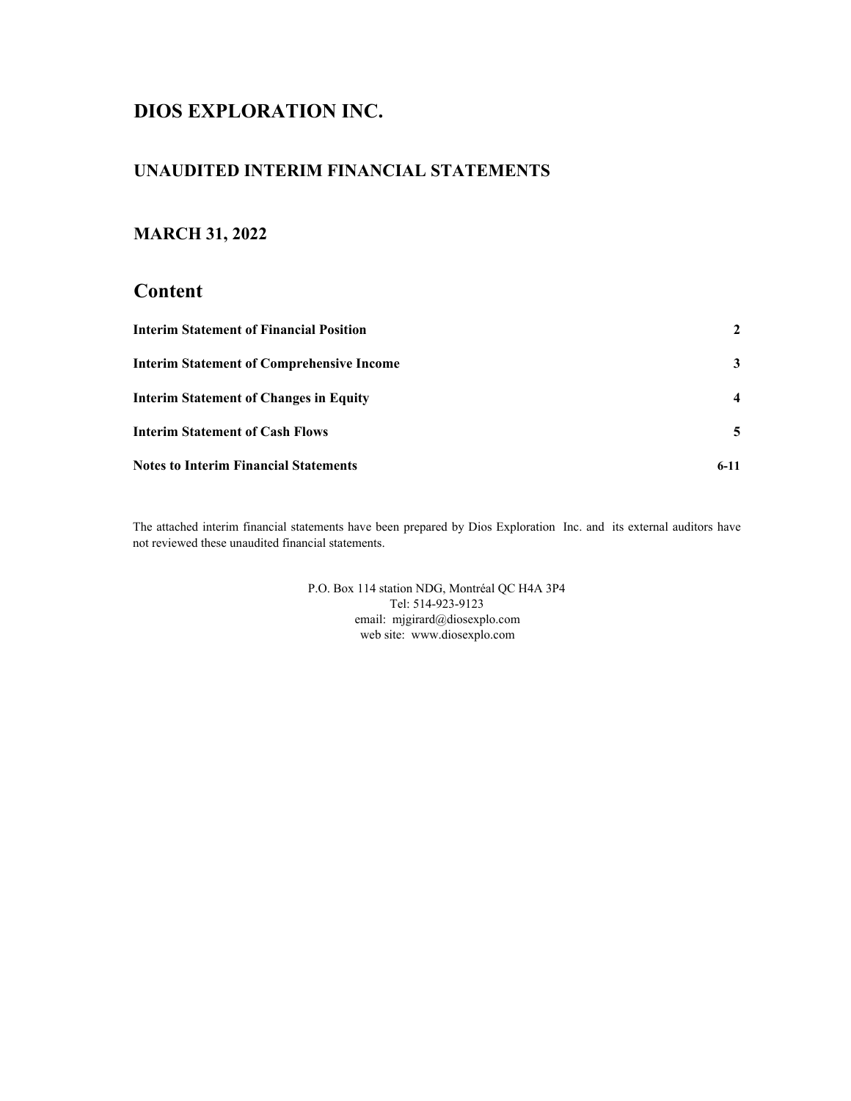# **DIOS EXPLORATION INC.**

# **UNAUDITED INTERIM FINANCIAL STATEMENTS**

# **MARCH 31, 2022**

# **Content**

| <b>Interim Statement of Financial Position</b>   |        |
|--------------------------------------------------|--------|
| <b>Interim Statement of Comprehensive Income</b> | 3      |
| <b>Interim Statement of Changes in Equity</b>    |        |
| <b>Interim Statement of Cash Flows</b>           | 5.     |
| <b>Notes to Interim Financial Statements</b>     | $6-11$ |

The attached interim financial statements have been prepared by Dios Exploration Inc. and its external auditors have not reviewed these unaudited financial statements.

> web site: www.diosexplo.com P.O. Box 114 station NDG, Montréal QC H4A 3P4 Tel: 514-923-9123 email: mjgirard@diosexplo.com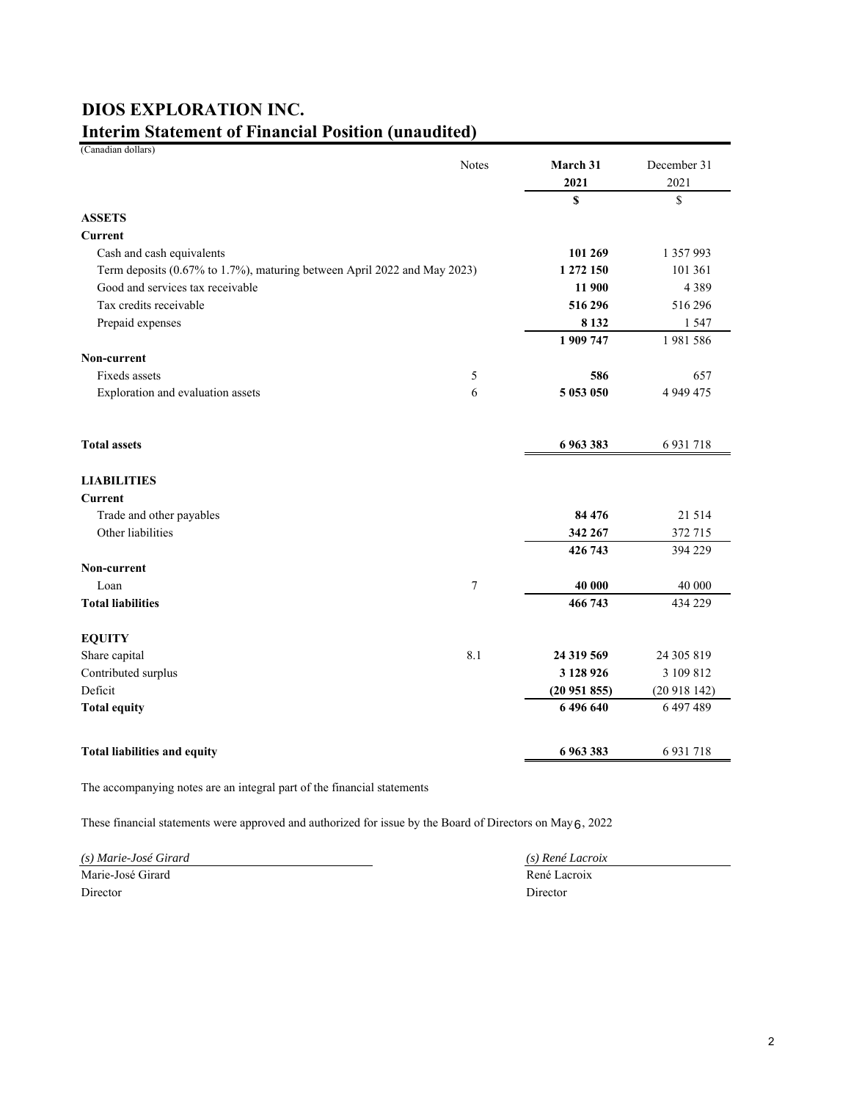# **Interim Statement of Financial Position (unaudited) DIOS EXPLORATION INC.**

| (Canadian dollars)                                                       |              |            |               |
|--------------------------------------------------------------------------|--------------|------------|---------------|
|                                                                          | <b>Notes</b> | March 31   | December 31   |
|                                                                          |              | 2021       | 2021          |
|                                                                          |              | \$         | \$            |
| <b>ASSETS</b>                                                            |              |            |               |
| Current                                                                  |              |            |               |
| Cash and cash equivalents                                                |              | 101 269    | 1 357 993     |
| Term deposits (0.67% to 1.7%), maturing between April 2022 and May 2023) |              | 1 272 150  | 101 361       |
| Good and services tax receivable                                         |              | 11 900     | 4 3 8 9       |
| Tax credits receivable                                                   |              | 516 296    | 516 296       |
| Prepaid expenses                                                         |              | 8 1 3 2    | 1 5 4 7       |
|                                                                          |              | 1 909 747  | 1981586       |
| Non-current                                                              |              |            |               |
| Fixeds assets                                                            | 5            | 586        | 657           |
| Exploration and evaluation assets                                        | 6            | 5 053 050  | 4 9 4 9 4 7 5 |
|                                                                          |              |            |               |
| <b>Total assets</b>                                                      |              | 6 963 383  | 6 9 31 718    |
| <b>LIABILITIES</b>                                                       |              |            |               |
| Current                                                                  |              |            |               |
| Trade and other payables                                                 |              | 84 476     | 21 5 14       |
| Other liabilities                                                        |              | 342 267    | 372 715       |
|                                                                          |              | 426 743    | 394 229       |
| Non-current                                                              |              |            |               |
| Loan                                                                     | 7            | 40 000     | 40 000        |
| <b>Total liabilities</b>                                                 |              | 466 743    | 434 229       |
| <b>EQUITY</b>                                                            |              |            |               |
| Share capital                                                            | 8.1          | 24 319 569 | 24 305 819    |
| Contributed surplus                                                      |              | 3 128 926  | 3 109 812     |
| Deficit                                                                  |              | (20951855) | (20918142)    |
| <b>Total equity</b>                                                      |              | 6496640    | 6 497 489     |
|                                                                          |              |            |               |
| <b>Total liabilities and equity</b>                                      |              | 6963383    | 6 9 31 7 18   |

The accompanying notes are an integral part of the financial statements

These financial statements were approved and authorized for issue by the Board of Directors on May  $6$ , 2022

*(s) Marie-José Girard (s) René Lacroix* Marie-José Girard René Lacroix Director Director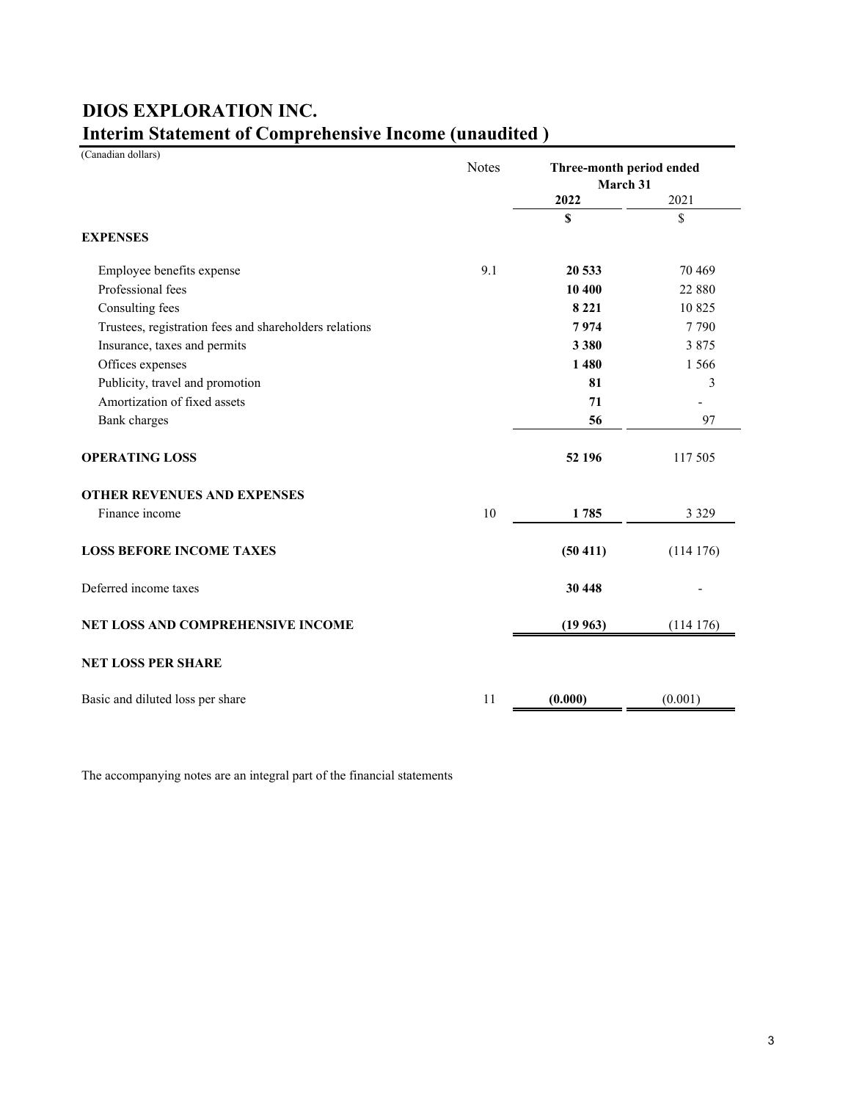| (Canadian dollars)                                     | <b>Notes</b> | Three-month period ended<br>March 31 |          |
|--------------------------------------------------------|--------------|--------------------------------------|----------|
|                                                        |              | 2022                                 | 2021     |
| <b>EXPENSES</b>                                        |              | \$                                   | \$       |
| Employee benefits expense                              | 9.1          | 20 533                               | 70 4 69  |
| Professional fees                                      |              | 10 400                               | 22 880   |
| Consulting fees                                        |              | 8 2 2 1                              | 10825    |
| Trustees, registration fees and shareholders relations |              | 7974                                 | 7790     |
| Insurance, taxes and permits                           |              | 3 3 8 0                              | 3 8 7 5  |
| Offices expenses                                       |              | 1480                                 | 1 5 6 6  |
| Publicity, travel and promotion                        |              | 81                                   | 3        |
| Amortization of fixed assets                           |              | 71                                   |          |
| <b>Bank</b> charges                                    |              | 56                                   | 97       |
| <b>OPERATING LOSS</b>                                  |              | 52 196                               | 117 505  |
| OTHER REVENUES AND EXPENSES                            |              |                                      |          |
| Finance income                                         | 10           | 1785                                 | 3 3 2 9  |
| <b>LOSS BEFORE INCOME TAXES</b>                        |              | (50 411)                             | (114176) |
| Deferred income taxes                                  |              | 30 448                               |          |
| NET LOSS AND COMPREHENSIVE INCOME                      |              | (19963)                              | (114176) |
| <b>NET LOSS PER SHARE</b>                              |              |                                      |          |
| Basic and diluted loss per share                       | 11           | (0.000)                              | (0.001)  |

# **Interim Statement of Comprehensive Income (unaudited ) DIOS EXPLORATION INC.**

The accompanying notes are an integral part of the financial statements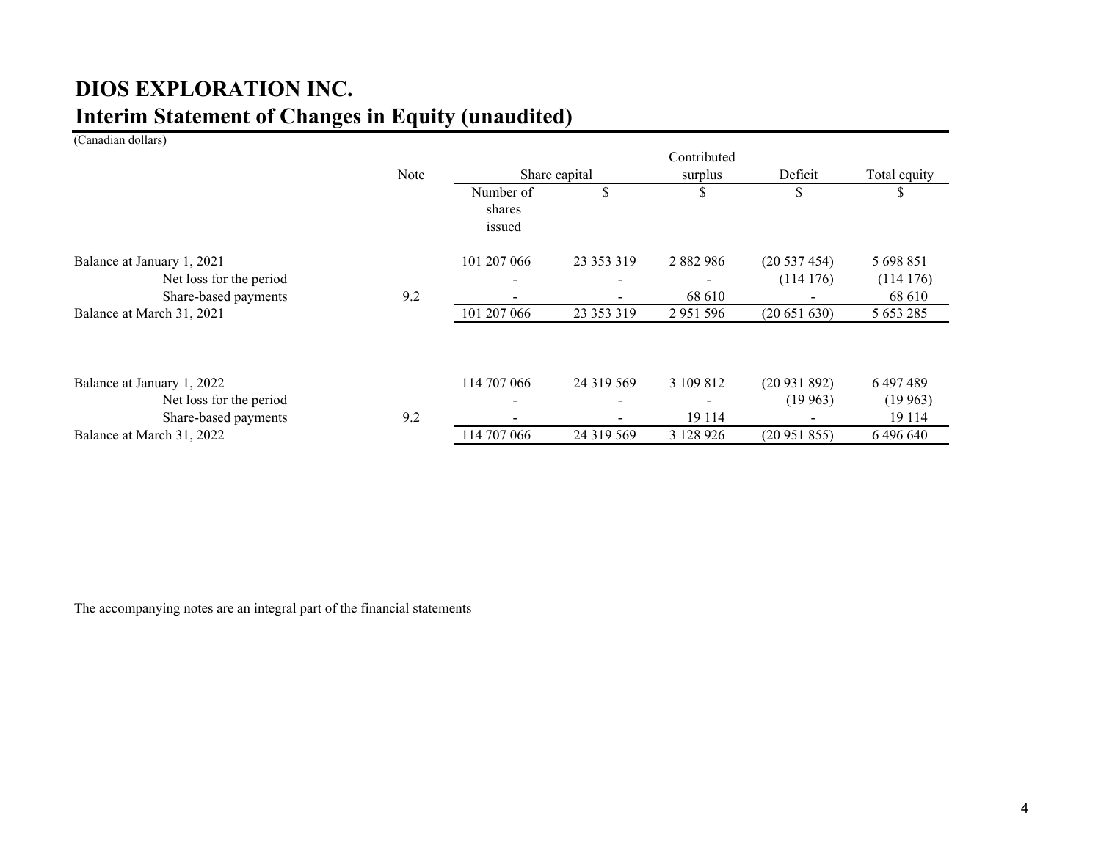# **Interim Statement of Changes in Equity (unaudited) DIOS EXPLORATION INC.**

(Canadian dollars)

|                                                                               |      |                               |               | Contributed             |                            |                                 |
|-------------------------------------------------------------------------------|------|-------------------------------|---------------|-------------------------|----------------------------|---------------------------------|
|                                                                               | Note |                               | Share capital | surplus                 | Deficit                    | Total equity                    |
|                                                                               |      | Number of<br>shares<br>issued | \$            | S                       | S                          |                                 |
| Balance at January 1, 2021<br>Net loss for the period<br>Share-based payments | 9.2  | 101 207 066                   | 23 353 319    | 2 8 8 2 9 8 6<br>68 610 | (20 537 454)<br>(114176)   | 5 698 851<br>(114176)<br>68 610 |
| Balance at March 31, 2021                                                     |      | 101 207 066                   | 23 353 319    | 2 9 5 1 5 9 6           | (20651630)                 | 5 653 285                       |
| Balance at January 1, 2022<br>Net loss for the period<br>Share-based payments | 9.2  | 114 707 066                   | 24 319 569    | 3 109 812<br>19 114     | (20931892)<br>(19963)<br>- | 6 497 489<br>(19963)<br>19 114  |
| Balance at March 31, 2022                                                     |      | 114 707 066                   | 24 319 569    | 3 128 926               | (20951855)                 | 6496640                         |

The accompanying notes are an integral part of the financial statements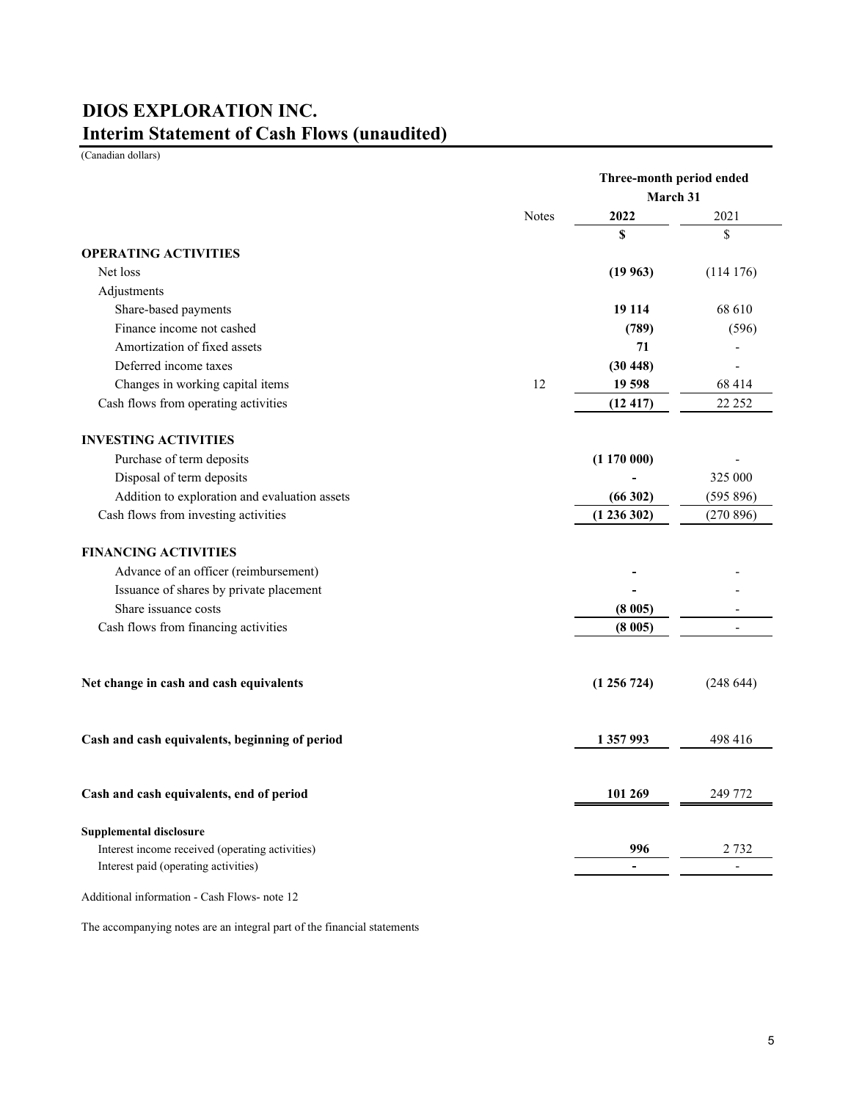# **Interim Statement of Cash Flows (unaudited) DIOS EXPLORATION INC.**

(Canadian dollars)

|                                                 |              | Three-month period ended |                |
|-------------------------------------------------|--------------|--------------------------|----------------|
|                                                 |              | March 31                 |                |
|                                                 | <b>Notes</b> | 2022                     | 2021           |
|                                                 |              | \$                       | \$             |
| <b>OPERATING ACTIVITIES</b>                     |              |                          |                |
| Net loss                                        |              | (19963)                  | (114176)       |
| Adjustments                                     |              |                          |                |
| Share-based payments                            |              | 19 114                   | 68 610         |
| Finance income not cashed                       |              | (789)                    | (596)          |
| Amortization of fixed assets                    |              | 71                       |                |
| Deferred income taxes                           |              | (30448)                  |                |
| Changes in working capital items                | 12           | 19 598                   | 68 414         |
| Cash flows from operating activities            |              | (12417)                  | 22 25 2        |
| <b>INVESTING ACTIVITIES</b>                     |              |                          |                |
| Purchase of term deposits                       |              | (1170000)                |                |
| Disposal of term deposits                       |              |                          | 325 000        |
| Addition to exploration and evaluation assets   |              | (66302)                  | (595 896)      |
| Cash flows from investing activities            |              | (1236302)                | (270896)       |
| <b>FINANCING ACTIVITIES</b>                     |              |                          |                |
| Advance of an officer (reimbursement)           |              |                          |                |
| Issuance of shares by private placement         |              |                          |                |
| Share issuance costs                            |              | (8005)                   |                |
| Cash flows from financing activities            |              | (8005)                   |                |
|                                                 |              |                          |                |
| Net change in cash and cash equivalents         |              | (1256724)                | (248644)       |
| Cash and cash equivalents, beginning of period  |              | 1 357 993                | 498 416        |
|                                                 |              |                          |                |
| Cash and cash equivalents, end of period        |              | 101 269                  | 249 772        |
| <b>Supplemental disclosure</b>                  |              |                          |                |
| Interest income received (operating activities) |              | 996                      | 2 732          |
| Interest paid (operating activities)            |              | $\blacksquare$           | $\overline{a}$ |
|                                                 |              |                          |                |

Additional information - Cash Flows- note 12

The accompanying notes are an integral part of the financial statements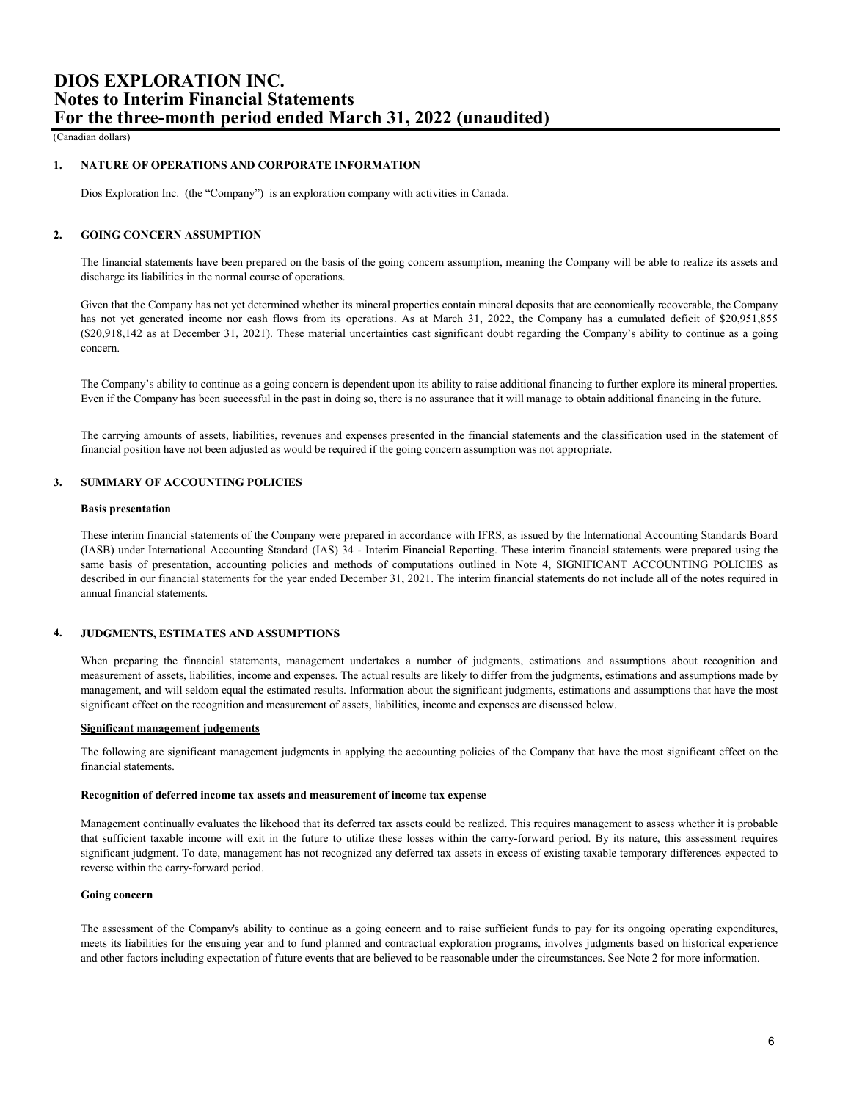(Canadian dollars)

### **1. NATURE OF OPERATIONS AND CORPORATE INFORMATION**

Dios Exploration Inc. (the "Company") is an exploration company with activities in Canada.

## **2. GOING CONCERN ASSUMPTION**

The financial statements have been prepared on the basis of the going concern assumption, meaning the Company will be able to realize its assets and discharge its liabilities in the normal course of operations.

Given that the Company has not yet determined whether its mineral properties contain mineral deposits that are economically recoverable, the Company has not yet generated income nor cash flows from its operations. As at March 31, 2022, the Company has a cumulated deficit of \$20,951,855 (\$20,918,142 as at December 31, 2021). These material uncertainties cast significant doubt regarding the Company's ability to continue as a going concern.

The Company's ability to continue as a going concern is dependent upon its ability to raise additional financing to further explore its mineral properties. Even if the Company has been successful in the past in doing so, there is no assurance that it will manage to obtain additional financing in the future.

The carrying amounts of assets, liabilities, revenues and expenses presented in the financial statements and the classification used in the statement of financial position have not been adjusted as would be required if the going concern assumption was not appropriate.

# **3. SUMMARY OF ACCOUNTING POLICIES**

### **Basis presentation**

These interim financial statements of the Company were prepared in accordance with IFRS, as issued by the International Accounting Standards Board (IASB) under International Accounting Standard (IAS) 34 - Interim Financial Reporting. These interim financial statements were prepared using the same basis of presentation, accounting policies and methods of computations outlined in Note 4, SIGNIFICANT ACCOUNTING POLICIES as described in our financial statements for the year ended December 31, 2021. The interim financial statements do not include all of the notes required in annual financial statements.

#### **4. JUDGMENTS, ESTIMATES AND ASSUMPTIONS**

When preparing the financial statements, management undertakes a number of judgments, estimations and assumptions about recognition and measurement of assets, liabilities, income and expenses. The actual results are likely to differ from the judgments, estimations and assumptions made by management, and will seldom equal the estimated results. Information about the significant judgments, estimations and assumptions that have the most significant effect on the recognition and measurement of assets, liabilities, income and expenses are discussed below.

# **Significant management judgements**

The following are significant management judgments in applying the accounting policies of the Company that have the most significant effect on the financial statements.

### **Recognition of deferred income tax assets and measurement of income tax expense**

Management continually evaluates the likehood that its deferred tax assets could be realized. This requires management to assess whether it is probable that sufficient taxable income will exit in the future to utilize these losses within the carry-forward period. By its nature, this assessment requires significant judgment. To date, management has not recognized any deferred tax assets in excess of existing taxable temporary differences expected to reverse within the carry-forward period.

### **Going concern**

The assessment of the Company's ability to continue as a going concern and to raise sufficient funds to pay for its ongoing operating expenditures, meets its liabilities for the ensuing year and to fund planned and contractual exploration programs, involves judgments based on historical experience and other factors including expectation of future events that are believed to be reasonable under the circumstances. See Note 2 for more information.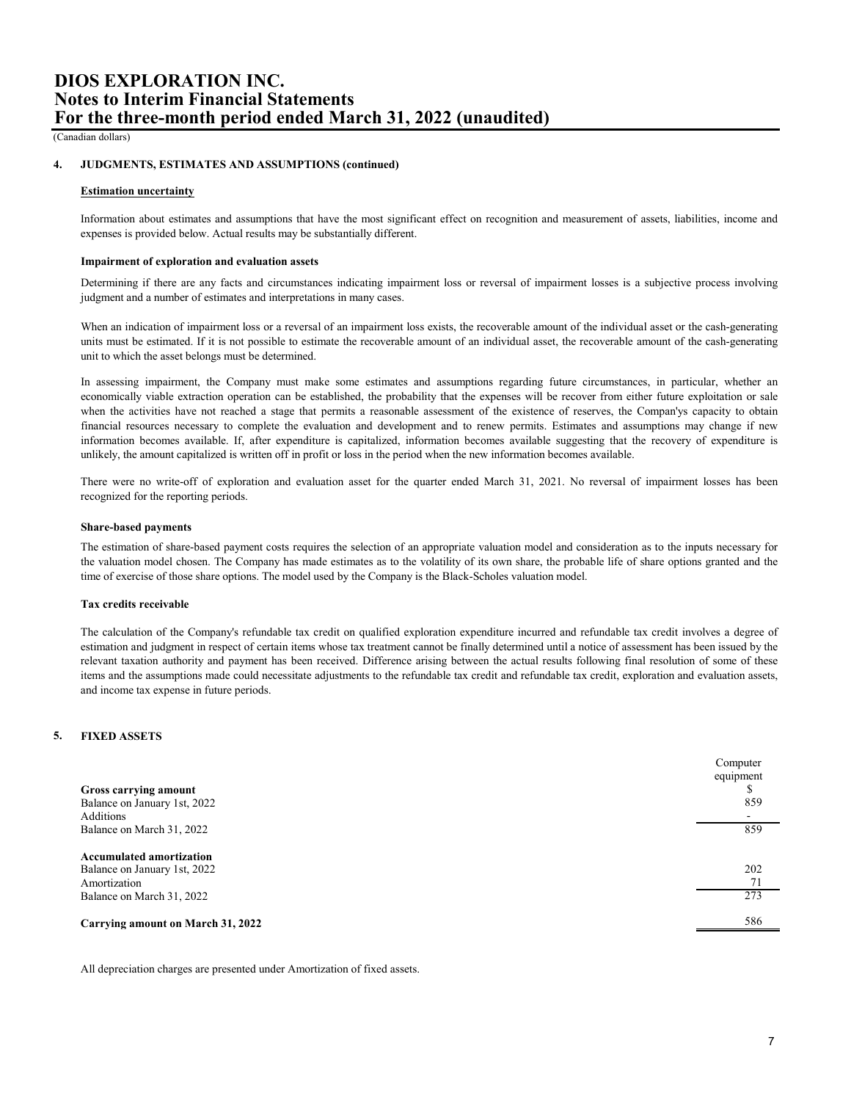(Canadian dollars)

#### **4. JUDGMENTS, ESTIMATES AND ASSUMPTIONS (continued)**

### **Estimation uncertainty**

Information about estimates and assumptions that have the most significant effect on recognition and measurement of assets, liabilities, income and expenses is provided below. Actual results may be substantially different.

### **Impairment of exploration and evaluation assets**

Determining if there are any facts and circumstances indicating impairment loss or reversal of impairment losses is a subjective process involving judgment and a number of estimates and interpretations in many cases.

When an indication of impairment loss or a reversal of an impairment loss exists, the recoverable amount of the individual asset or the cash-generating units must be estimated. If it is not possible to estimate the recoverable amount of an individual asset, the recoverable amount of the cash-generating unit to which the asset belongs must be determined.

In assessing impairment, the Company must make some estimates and assumptions regarding future circumstances, in particular, whether an economically viable extraction operation can be established, the probability that the expenses will be recover from either future exploitation or sale when the activities have not reached a stage that permits a reasonable assessment of the existence of reserves, the Compan'ys capacity to obtain financial resources necessary to complete the evaluation and development and to renew permits. Estimates and assumptions may change if new information becomes available. If, after expenditure is capitalized, information becomes available suggesting that the recovery of expenditure is unlikely, the amount capitalized is written off in profit or loss in the period when the new information becomes available.

There were no write-off of exploration and evaluation asset for the quarter ended March 31, 2021. No reversal of impairment losses has been recognized for the reporting periods.

### **Share-based payments**

The estimation of share-based payment costs requires the selection of an appropriate valuation model and consideration as to the inputs necessary for the valuation model chosen. The Company has made estimates as to the volatility of its own share, the probable life of share options granted and the time of exercise of those share options. The model used by the Company is the Black-Scholes valuation model.

### **Tax credits receivable**

The calculation of the Company's refundable tax credit on qualified exploration expenditure incurred and refundable tax credit involves a degree of estimation and judgment in respect of certain items whose tax treatment cannot be finally determined until a notice of assessment has been issued by the relevant taxation authority and payment has been received. Difference arising between the actual results following final resolution of some of these items and the assumptions made could necessitate adjustments to the refundable tax credit and refundable tax credit, exploration and evaluation assets, and income tax expense in future periods.

# **5. FIXED ASSETS**

| Gross carrying amount<br>Balance on January 1st, 2022           | Computer<br>equipment<br>859 |
|-----------------------------------------------------------------|------------------------------|
| Additions                                                       |                              |
| Balance on March 31, 2022                                       | 859                          |
| <b>Accumulated amortization</b><br>Balance on January 1st, 2022 | 202<br>71                    |
| Amortization                                                    |                              |
| Balance on March 31, 2022                                       | 273                          |
| Carrying amount on March 31, 2022                               | 586                          |

All depreciation charges are presented under Amortization of fixed assets.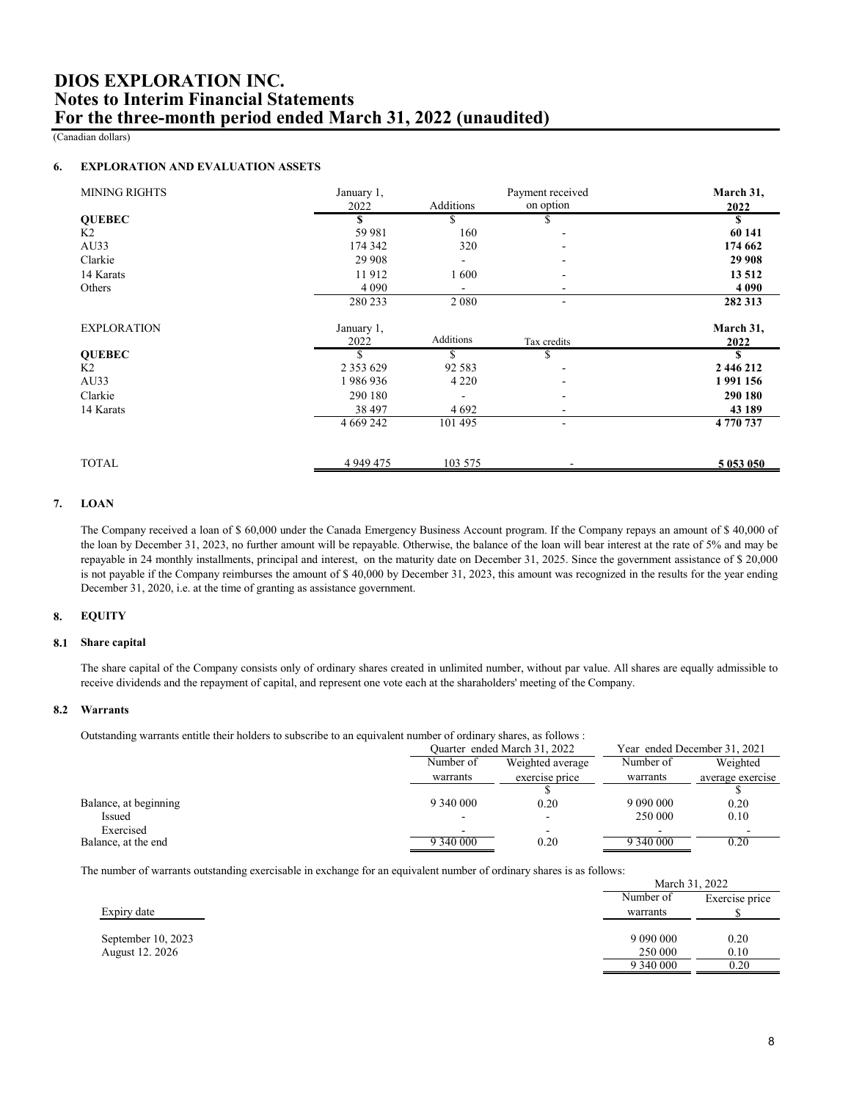(Canadian dollars)

### **6. EXPLORATION AND EVALUATION ASSETS**

| January 1,    |           | Payment received         | March 31, |
|---------------|-----------|--------------------------|-----------|
| 2022          | Additions | on option                | 2022      |
| \$            |           |                          |           |
| 59 981        | 160       |                          | 60 141    |
| 174 342       | 320       |                          | 174 662   |
| 29 908        |           |                          | 29 908    |
| 11912         | 1600      |                          | 13 512    |
| 4 0 9 0       |           |                          | 4 0 9 0   |
| 280 233       | 2 0 8 0   | $\overline{\phantom{a}}$ | 282 313   |
| January 1,    |           |                          | March 31, |
| 2022          | Additions | Tax credits              | 2022      |
| \$            | \$.       | \$                       | S         |
| 2 3 5 3 6 2 9 | 92 5 8 3  |                          | 2 446 212 |
| 1986936       | 4 2 2 0   |                          | 1991156   |
| 290 180       |           |                          | 290 180   |
| 38 497        | 4 6 9 2   | $\overline{\phantom{0}}$ | 43 189    |
| 4 6 69 24 2   | 101 495   | ٠                        | 4770737   |
|               |           | ۰                        | 5 053 050 |
|               | 4 949 475 | 103 575                  |           |

#### **7. LOAN**

The Company received a loan of \$ 60,000 under the Canada Emergency Business Account program. If the Company repays an amount of \$ 40,000 of the loan by December 31, 2023, no further amount will be repayable. Otherwise, the balance of the loan will bear interest at the rate of 5% and may be repayable in 24 monthly installments, principal and interest, on the maturity date on December 31, 2025. Since the government assistance of \$ 20,000 is not payable if the Company reimburses the amount of \$ 40,000 by December 31, 2023, this amount was recognized in the results for the year ending December 31, 2020, i.e. at the time of granting as assistance government.

#### **8. EQUITY**

### **8.1 Share capital**

The share capital of the Company consists only of ordinary shares created in unlimited number, without par value. All shares are equally admissible to receive dividends and the repayment of capital, and represent one vote each at the sharaholders' meeting of the Company.

# **8.2 Warrants**

Outstanding warrants entitle their holders to subscribe to an equivalent number of ordinary shares, as follows :

| c                     |           |                              |           |                              |
|-----------------------|-----------|------------------------------|-----------|------------------------------|
|                       |           | Ouarter ended March 31, 2022 |           | Year ended December 31, 2021 |
|                       | Number of | Weighted average             | Number of | Weighted                     |
|                       | warrants  | exercise price               | warrants  | average exercise             |
|                       |           |                              |           |                              |
| Balance, at beginning | 9 340 000 | 0.20                         |           | 0.20                         |
| Issued                |           |                              | 250 000   | 0.10                         |
| Exercised             |           |                              |           |                              |
| Balance, at the end   | 9 340 000 | 0.20                         | 9 340 000 | 0.20                         |

The number of warrants outstanding exercisable in exchange for an equivalent number of ordinary shares is as follows:

|                    | March 31, 2022 |                |
|--------------------|----------------|----------------|
|                    | Number of      | Exercise price |
| Expiry date        | warrants       |                |
|                    |                |                |
| September 10, 2023 |                | 0.20           |
| August 12, 2026    | 250 000        | 0.10           |
|                    | 9 340 000      | 0.20           |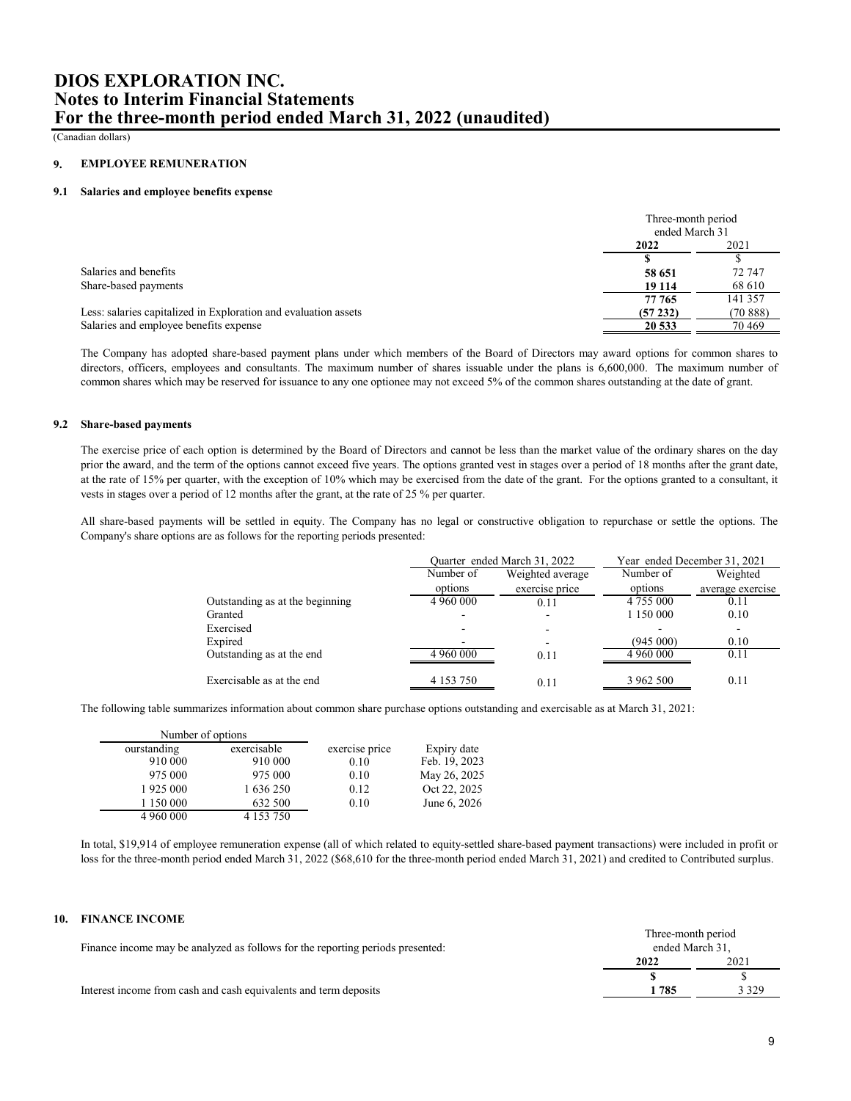(Canadian dollars)

#### **9. EMPLOYEE REMUNERATION**

## **9.1 Salaries and employee benefits expense**

|                                                                 | Three-month period<br>ended March 31 |         |
|-----------------------------------------------------------------|--------------------------------------|---------|
|                                                                 | 2021<br>2022                         |         |
|                                                                 |                                      |         |
| Salaries and benefits                                           | 58 651                               | 72 747  |
| Share-based payments                                            | 19 114                               | 68 610  |
|                                                                 | 77 765                               | 141 357 |
| Less: salaries capitalized in Exploration and evaluation assets | (57232)                              | (70888) |
| Salaries and employee benefits expense                          | 20 533                               | 70469   |

The Company has adopted share-based payment plans under which members of the Board of Directors may award options for common shares to directors, officers, employees and consultants. The maximum number of shares issuable under the plans is 6,600,000. The maximum number of common shares which may be reserved for issuance to any one optionee may not exceed 5% of the common shares outstanding at the date of grant.

### **9.2 Share-based payments**

The exercise price of each option is determined by the Board of Directors and cannot be less than the market value of the ordinary shares on the day prior the award, and the term of the options cannot exceed five years. The options granted vest in stages over a period of 18 months after the grant date, at the rate of 15% per quarter, with the exception of 10% which may be exercised from the date of the grant. For the options granted to a consultant, it vests in stages over a period of 12 months after the grant, at the rate of 25 % per quarter.

All share-based payments will be settled in equity. The Company has no legal or constructive obligation to repurchase or settle the options. The Company's share options are as follows for the reporting periods presented:

|                                 | Quarter ended March 31, 2022 |                  |                 | Year ended December 31, 2021 |
|---------------------------------|------------------------------|------------------|-----------------|------------------------------|
|                                 | Number of                    | Weighted average | Number of       | Weighted                     |
|                                 | options                      | exercise price   | options         | average exercise             |
| Outstanding as at the beginning | 4 960 000                    | 0.11             | 4 7 5 5 0 0 0   | 0.11                         |
| Granted                         |                              |                  | 1 1 5 0 0 0 0 0 | 0.10                         |
| Exercised                       |                              |                  |                 |                              |
| Expired                         |                              |                  | (945000)        | 0.10                         |
| Outstanding as at the end       | 4 960 000                    | 0.11             | 4 960 000       | 0.11                         |
| Exercisable as at the end       | 4 1 5 3 7 5 0                | 0.11             | 3 962 500       | 0.11                         |

The following table summarizes information about common share purchase options outstanding and exercisable as at March 31, 2021:

| Number of options |               |                |               |
|-------------------|---------------|----------------|---------------|
| ourstanding       | exercisable   | exercise price | Expiry date   |
| 910 000           | 910 000       | 0.10           | Feb. 19, 2023 |
| 975 000           | 975 000       | 0.10           | May 26, 2025  |
| 1925 000          | 1 636 250     | 0.12           | Oct 22, 2025  |
| 1 150 000         | 632 500       | 0.10           | June 6, 2026  |
| 4 960 000         | 4 1 5 3 7 5 0 |                |               |

In total, \$19,914 of employee remuneration expense (all of which related to equity-settled share-based payment transactions) were included in profit or loss for the three-month period ended March 31, 2022 (\$68,610 for the three-month period ended March 31, 2021) and credited to Contributed surplus.

### **10. FINANCE INCOME**

|                                                                                | Three-month period<br>ended March 31. |         |
|--------------------------------------------------------------------------------|---------------------------------------|---------|
| Finance income may be analyzed as follows for the reporting periods presented: |                                       |         |
|                                                                                | 2022                                  | 2021    |
|                                                                                |                                       |         |
| Interest income from cash and cash equivalents and term deposits               | 785                                   | 3 3 2 9 |
|                                                                                |                                       |         |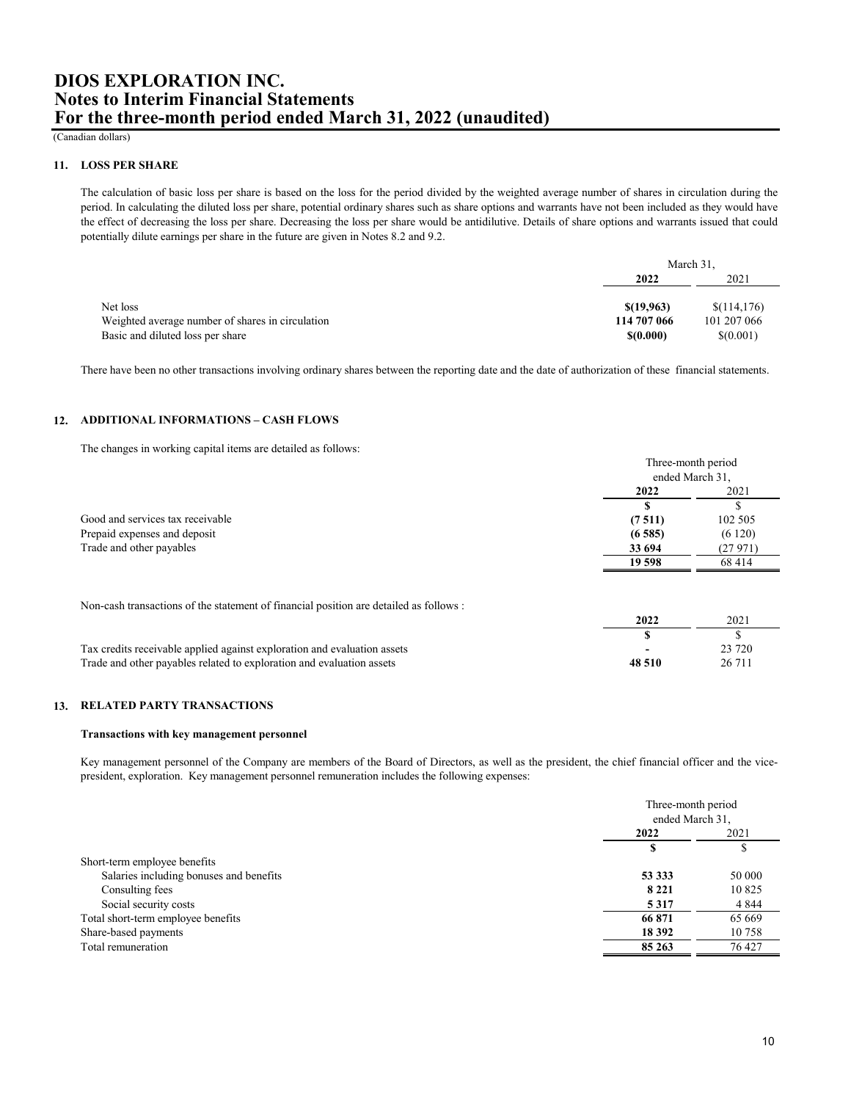(Canadian dollars)

### **11. LOSS PER SHARE**

The calculation of basic loss per share is based on the loss for the period divided by the weighted average number of shares in circulation during the period. In calculating the diluted loss per share, potential ordinary shares such as share options and warrants have not been included as they would have the effect of decreasing the loss per share. Decreasing the loss per share would be antidilutive. Details of share options and warrants issued that could potentially dilute earnings per share in the future are given in Notes 8.2 and 9.2.

|                                                  | March 31.   |             |
|--------------------------------------------------|-------------|-------------|
|                                                  | 2022        | 2021        |
|                                                  |             |             |
| Net loss                                         | \$(19.963)  | \$(114,176) |
| Weighted average number of shares in circulation | 114 707 066 | 101 207 066 |
| Basic and diluted loss per share                 | \$(0.000)   | \$(0.001)   |

There have been no other transactions involving ordinary shares between the reporting date and the date of authorization of these financial statements.

## **12. ADDITIONAL INFORMATIONS – CASH FLOWS**

The changes in working capital items are detailed as follows:

|                                  | Three-month period<br>ended March 31, |         |
|----------------------------------|---------------------------------------|---------|
|                                  |                                       |         |
|                                  | 2022                                  | 2021    |
|                                  |                                       |         |
| Good and services tax receivable | (7511)                                | 102 505 |
| Prepaid expenses and deposit     | (6585)                                | (6120)  |
| Trade and other payables         | 33 694                                | (27971) |
|                                  | 19 598                                | 68 414  |

Non-cash transactions of the statement of financial position are detailed as follows :

| Tax credits receivable applied against exploration and evaluation assets |        |          |
|--------------------------------------------------------------------------|--------|----------|
| Trade and other payables related to exploration and evaluation assets    | 48.510 | 26 7 1 1 |

## **13. RELATED PARTY TRANSACTIONS**

### **Transactions with key management personnel**

Key management personnel of the Company are members of the Board of Directors, as well as the president, the chief financial officer and the vicepresident, exploration. Key management personnel remuneration includes the following expenses:

|                                         |         | Three-month period<br>ended March 31, |  |
|-----------------------------------------|---------|---------------------------------------|--|
|                                         |         |                                       |  |
|                                         | 2022    | 2021                                  |  |
|                                         |         |                                       |  |
| Short-term employee benefits            |         |                                       |  |
| Salaries including bonuses and benefits | 53 333  | 50 000                                |  |
| Consulting fees                         | 8 2 2 1 | 10825                                 |  |
| Social security costs                   | 5317    | 4 8 4 4                               |  |
| Total short-term employee benefits      | 66 871  | 65 669                                |  |
| Share-based payments                    | 18 392  | 10758                                 |  |
| Total remuneration                      | 85 263  | 76 427                                |  |
|                                         |         |                                       |  |

**2022** 2021